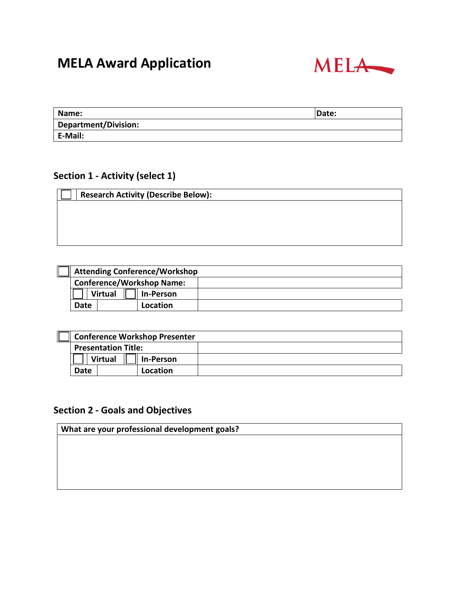# **MELA Award Application**



| Name:                | Date: |
|----------------------|-------|
| Department/Division: |       |
| E-Mail:              |       |

# **Section 1 - Activity (select 1)**

| <b>Research Activity (Describe Below):</b> |
|--------------------------------------------|
|                                            |
|                                            |
|                                            |
|                                            |
|                                            |
|                                            |

| <b>Attending Conference/Workshop</b> |                  |  |
|--------------------------------------|------------------|--|
| <b>Conference/Workshop Name:</b>     |                  |  |
| <b>Virtual</b>                       | <b>In-Person</b> |  |
| Date                                 | Location         |  |

| <b>Conference Workshop Presenter</b> |                |           |  |
|--------------------------------------|----------------|-----------|--|
| <b>Presentation Title:</b>           |                |           |  |
|                                      | <b>Virtual</b> | In-Person |  |
| Date                                 |                | Location  |  |

# **Section 2 - Goals and Objectives**

**What are your professional development goals?**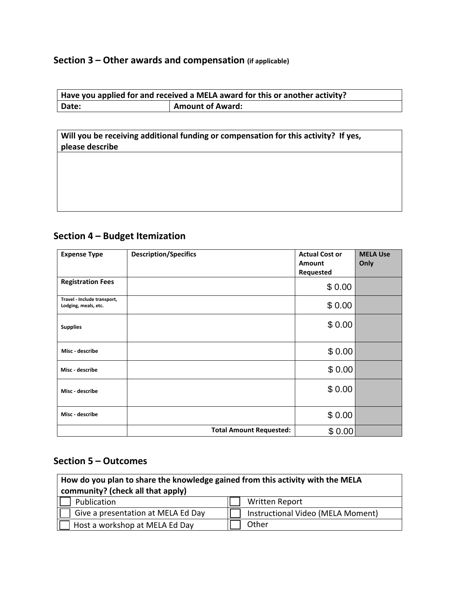#### **Section 3 – Other awards and compensation (if applicable)**

| Have you applied for and received a MELA award for this or another activity? |                         |  |
|------------------------------------------------------------------------------|-------------------------|--|
| Date:                                                                        | <b>Amount of Award:</b> |  |

**Will you be receiving additional funding or compensation for this activity? If yes, please describe** 

# **Section 4 – Budget Itemization**

| <b>Expense Type</b>                                 | <b>Description/Specifics</b>   | <b>Actual Cost or</b><br><b>Amount</b> | <b>MELA Use</b><br>Only |
|-----------------------------------------------------|--------------------------------|----------------------------------------|-------------------------|
| <b>Registration Fees</b>                            |                                | Requested                              |                         |
|                                                     |                                | \$0.00                                 |                         |
| Travel - Include transport,<br>Lodging, meals, etc. |                                | \$0.00                                 |                         |
| <b>Supplies</b>                                     |                                | \$0.00                                 |                         |
| Misc - describe                                     |                                | \$0.00                                 |                         |
| Misc - describe                                     |                                | \$0.00                                 |                         |
| Misc - describe                                     |                                | \$0.00                                 |                         |
| Misc - describe                                     |                                | \$0.00                                 |                         |
|                                                     | <b>Total Amount Requested:</b> | \$0.00                                 |                         |

# **Section 5 – Outcomes**

| How do you plan to share the knowledge gained from this activity with the MELA<br>community? (check all that apply) |                                   |  |
|---------------------------------------------------------------------------------------------------------------------|-----------------------------------|--|
| Publication                                                                                                         | <b>Written Report</b>             |  |
| Give a presentation at MELA Ed Day                                                                                  | Instructional Video (MELA Moment) |  |
| Host a workshop at MELA Ed Day                                                                                      | Other                             |  |